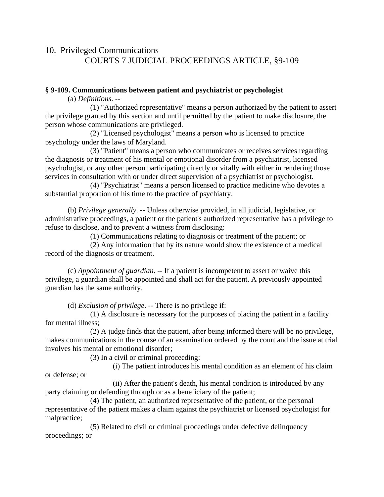## 10. Privileged Communications COURTS 7 JUDICIAL PROCEEDINGS ARTICLE, §9-109

## **§ 9-109. Communications between patient and psychiatrist or psychologist**

(a) *Definitions*. --

 (1) "Authorized representative" means a person authorized by the patient to assert the privilege granted by this section and until permitted by the patient to make disclosure, the person whose communications are privileged.

 (2) "Licensed psychologist" means a person who is licensed to practice psychology under the laws of Maryland.

 (3) "Patient" means a person who communicates or receives services regarding the diagnosis or treatment of his mental or emotional disorder from a psychiatrist, licensed psychologist, or any other person participating directly or vitally with either in rendering those services in consultation with or under direct supervision of a psychiatrist or psychologist.

 (4) "Psychiatrist" means a person licensed to practice medicine who devotes a substantial proportion of his time to the practice of psychiatry.

 (b) *Privilege generally*. -- Unless otherwise provided, in all judicial, legislative, or administrative proceedings, a patient or the patient's authorized representative has a privilege to refuse to disclose, and to prevent a witness from disclosing:

(1) Communications relating to diagnosis or treatment of the patient; or

 (2) Any information that by its nature would show the existence of a medical record of the diagnosis or treatment.

 (c) *Appointment of guardian*. -- If a patient is incompetent to assert or waive this privilege, a guardian shall be appointed and shall act for the patient. A previously appointed guardian has the same authority.

(d) *Exclusion of privilege*. -- There is no privilege if:

 (1) A disclosure is necessary for the purposes of placing the patient in a facility for mental illness;

 (2) A judge finds that the patient, after being informed there will be no privilege, makes communications in the course of an examination ordered by the court and the issue at trial involves his mental or emotional disorder;

(3) In a civil or criminal proceeding:

 (i) The patient introduces his mental condition as an element of his claim or defense; or

 (ii) After the patient's death, his mental condition is introduced by any party claiming or defending through or as a beneficiary of the patient;

 (4) The patient, an authorized representative of the patient, or the personal representative of the patient makes a claim against the psychiatrist or licensed psychologist for malpractice;

 (5) Related to civil or criminal proceedings under defective delinquency proceedings; or